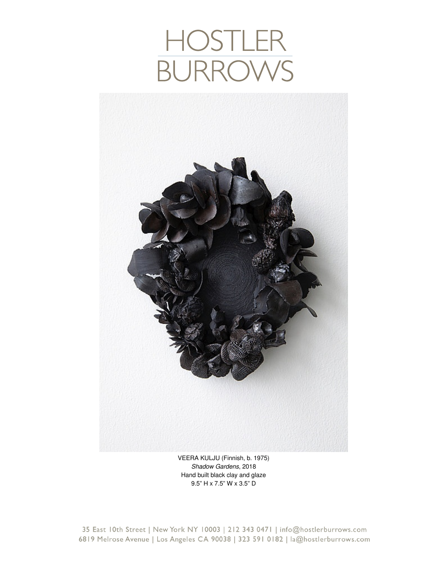# HOSTLEF<br>BURROW



VEERA KULJU (Finnish, b. 1975) *Shadow Gardens*, 2018 Hand built black clay and glaze 9.5" H x 7.5" W x 3.5" D

35 East 10th Street | New York NY 10003 | 212 343 0471 | info@hostlerburrows.com 6819 Melrose Avenue | Los Angeles CA 90038 | 323 591 0182 | la@hostlerburrows.com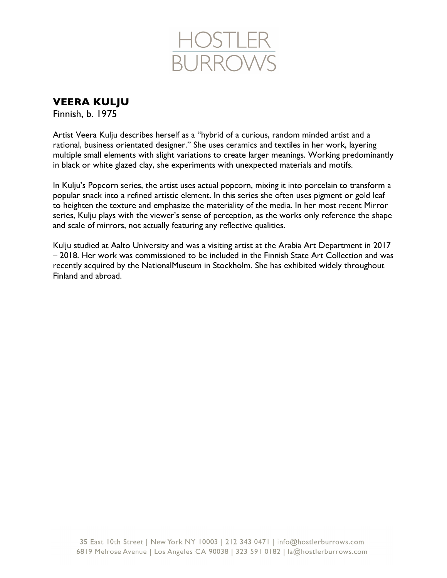

**VEERA KULJU**

Finnish, b. 1975

Artist Veera Kulju describes herself as a "hybrid of a curious, random minded artist and a rational, business orientated designer." She uses ceramics and textiles in her work, layering multiple small elements with slight variations to create larger meanings. Working predominantly in black or white glazed clay, she experiments with unexpected materials and motifs.

In Kulju's Popcorn series, the artist uses actual popcorn, mixing it into porcelain to transform a popular snack into a refined artistic element. In this series she often uses pigment or gold leaf to heighten the texture and emphasize the materiality of the media. In her most recent Mirror series, Kulju plays with the viewer's sense of perception, as the works only reference the shape and scale of mirrors, not actually featuring any reflective qualities.

Kulju studied at Aalto University and was a visiting artist at the Arabia Art Department in 2017 – 2018. Her work was commissioned to be included in the Finnish State Art Collection and was recently acquired by the NationalMuseum in Stockholm. She has exhibited widely throughout Finland and abroad.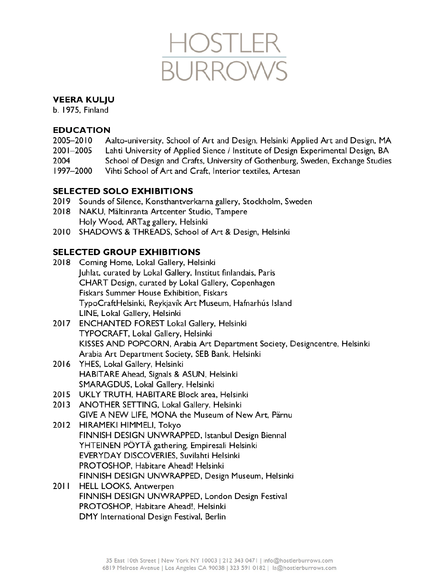

# **VEERA KULJU**

b. 1975. Finland

## **EDUCATION**

- 2005-2010 Aalto-university, School of Art and Design, Helsinki Applied Art and Design, MA
- 2001-2005 Lahti University of Applied Sience / Institute of Design Experimental Design, BA
- 2004 School of Design and Crafts, University of Gothenburg, Sweden, Exchange Studies
- 1997-2000 Vihti School of Art and Craft, Interior textiles, Artesan

# **SELECTED SOLO EXHIBITIONS**

- 2019 Sounds of Silence, Konsthantverkarna gallery, Stockholm, Sweden
- 2018 NAKU, Mältinranta Artcenter Studio, Tampere Holy Wood, ARTag gallery, Helsinki
- 2010 SHADOWS & THREADS, School of Art & Design, Helsinki

# **SELECTED GROUP EXHIBITIONS**

- 2018 Coming Home, Lokal Gallery, Helsinki Juhlat, curated by Lokal Gallery, Institut finlandais, Paris CHART Design, curated by Lokal Gallery, Copenhagen Fiskars Summer House Exhibition, Fiskars TypoCraftHelsinki, Reykjavík Art Museum, Hafnarhús Island LINE, Lokal Gallery, Helsinki
- 2017 ENCHANTED FOREST Lokal Gallery, Helsinki TYPOCRAFT, Lokal Gallery, Helsinki KISSES AND POPCORN, Arabia Art Department Society, Designcentre, Helsinki Arabia Art Department Society, SEB Bank, Helsinki
- 2016 YHES, Lokal Gallery, Helsinki HABITARE Ahead, Signals & ASUN, Helsinki SMARAGDUS, Lokal Gallery, Helsinki
- 2015 UKLY TRUTH, HABITARE Block area, Helsinki
- 2013 ANOTHER SETTING, Lokal Gallery, Helsinki GIVE A NEW LIFE, MONA the Museum of New Art, Pärnu
- 2012 HIRAMEKI HIMMELI, Tokyo FINNISH DESIGN UNWRAPPED, Istanbul Design Biennal YHTEINEN PÖYTÄ gathering, Empiresali Helsinki EVERYDAY DISCOVERIES, Suvilahti Helsinki PROTOSHOP, Habitare Ahead! Helsinki FINNISH DESIGN UNWRAPPED, Design Museum, Helsinki
- 2011 HELL LOOKS, Antwerpen FINNISH DESIGN UNWRAPPED, London Design Festival PROTOSHOP, Habitare Ahead!, Helsinki DMY International Design Festival, Berlin